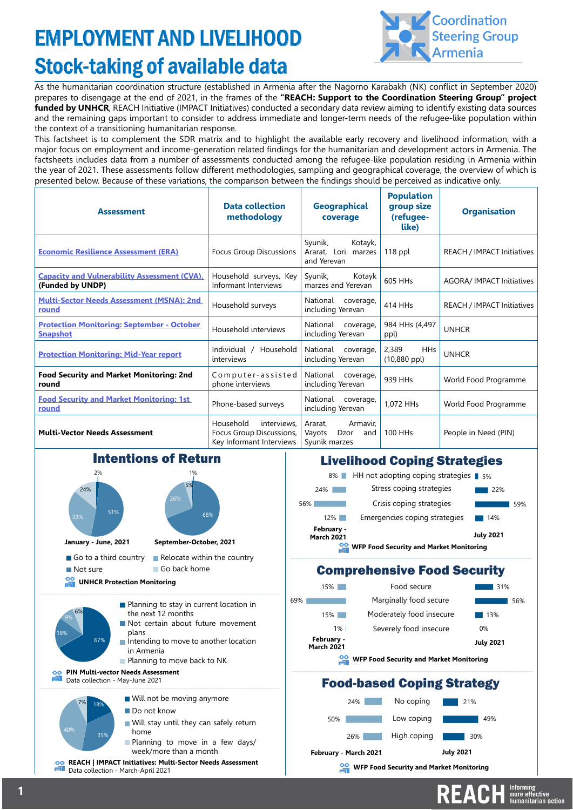# EMPLOYMENT AND LIVELIHOOD Stock-taking of available data



As the humanitarian coordination structure (established in Armenia after the Nagorno Karabakh (NK) conflict in September 2020) prepares to disengage at the end of 2021, in the frames of the **"REACH: Support to the Coordination Steering Group" project funded by UNHCR**, REACH Initiative (IMPACT Initiatives) conducted a secondary data review aiming to identify existing data sources and the remaining gaps important to consider to address immediate and longer-term needs of the refugee-like population within the context of a transitioning humanitarian response.

This factsheet is to complement the SDR matrix and to highlight the available early recovery and livelihood information, with a major focus on employment and income-generation related findings for the humanitarian and development actors in Armenia. The factsheets includes data from a number of assessments conducted among the refugee-like population residing in Armenia within the year of 2021. These assessments follow different methodologies, sampling and geographical coverage, the overview of which is presented below. Because of these variations, the comparison between the findings should be perceived as indicative only.

| <b>Assessment</b>                                                        | <b>Data collection</b><br>methodology                                            | <b>Geographical</b><br>coverage                               | <b>Population</b><br>group size<br>(refugee-<br>like) | <b>Organisation</b>               |
|--------------------------------------------------------------------------|----------------------------------------------------------------------------------|---------------------------------------------------------------|-------------------------------------------------------|-----------------------------------|
| <b>Economic Resilience Assessment (ERA)</b>                              | Focus Group Discussions                                                          | Kotayk,<br>Syunik,<br>Ararat, Lori marzes<br>and Yerevan      | $118$ ppl                                             | <b>REACH / IMPACT Initiatives</b> |
| <b>Capacity and Vulnerability Assessment (CVA)</b> ,<br>(Funded by UNDP) | Household surveys, Key<br>Informant Interviews                                   | Syunik,<br>Kotayk<br>marzes and Yerevan                       | 605 HHs                                               | <b>AGORA/IMPACT Initiatives</b>   |
| <b>Multi-Sector Needs Assessment (MSNA): 2nd</b><br>round                | Household surveys                                                                | National<br>coverage,<br>including Yerevan                    | 414 HHs                                               | <b>REACH / IMPACT Initiatives</b> |
| <b>Protection Monitoring: September - October</b><br><b>Snapshot</b>     | Household interviews                                                             | National<br>coverage,<br>including Yerevan                    | 984 HHs (4,497<br>ppl)                                | <b>UNHCR</b>                      |
| <b>Protection Monitoring: Mid-Year report</b>                            | Individual /<br>Household<br>interviews                                          | National<br>coverage,<br>including Yerevan                    | 2,389<br><b>HHs</b><br>$(10,880$ ppl)                 | <b>UNHCR</b>                      |
| <b>Food Security and Market Monitoring: 2nd</b><br>round                 | Computer-assisted<br>phone interviews                                            | National<br>coverage,<br>including Yerevan                    | 939 HHs                                               | World Food Programme              |
| <b>Food Security and Market Monitoring: 1st</b><br>round                 | Phone-based surveys                                                              | National<br>coverage,<br>including Yerevan                    | 1,072 HHs                                             | World Food Programme              |
| <b>Multi-Vector Needs Assessment</b>                                     | Household<br>interviews.<br>Focus Group Discussions,<br>Key Informant Interviews | Armavir.<br>Ararat.<br>Dzor<br>Vayots<br>and<br>Syunik marzes | 100 HHs                                               | People in Need (PIN)              |



#### Livelihood Coping Strategies



#### Comprehensive Food Security

| <b>WFP Food Security and Market Monitoring</b> |                                 |                          |                  |  |
|------------------------------------------------|---------------------------------|--------------------------|------------------|--|
|                                                | February -<br><b>March 2021</b> |                          | <b>July 2021</b> |  |
|                                                | $1\%$                           | Severely food insecure   | 0%               |  |
|                                                | 15%                             | Moderately food insecure | 13%              |  |
| ℅                                              |                                 | Marginally food secure   | 56%              |  |
|                                                | 15%                             | Food secure              | 31%              |  |

### Food-based Coping Strategy



**WFP Food Security and Market Monitoring** 

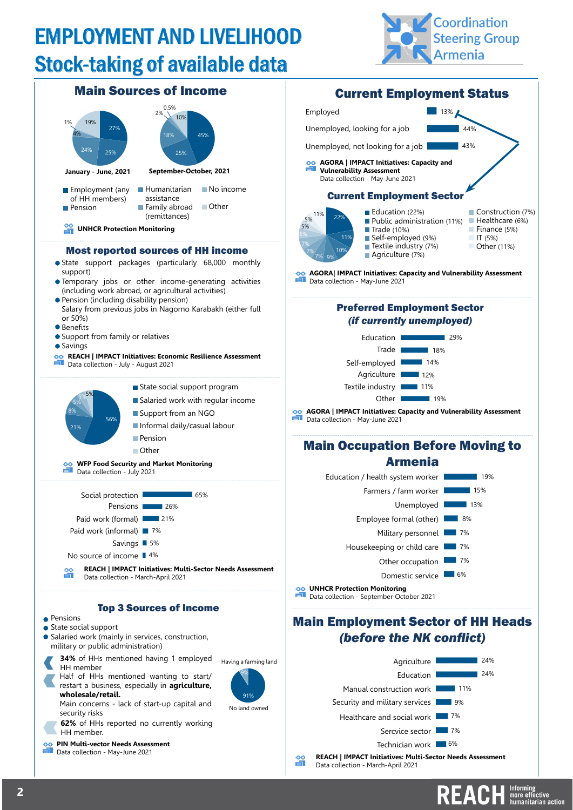# EMPLOYMENT AND LIVELIHOOD Stock-taking of available data





## Main Employment Sector of HH Heads *(before the NK conflict)*



REACH **Informing**